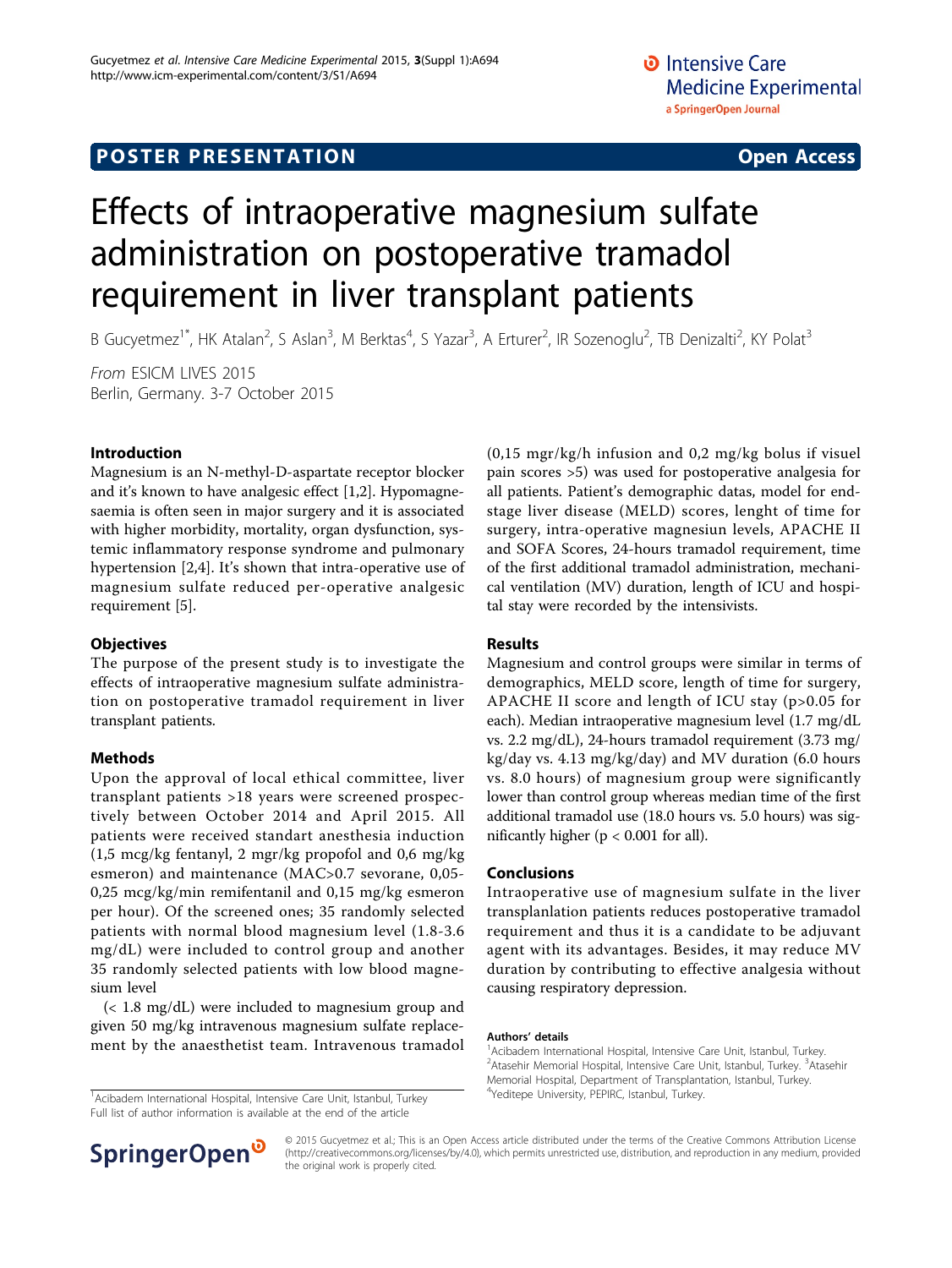# **POSTER PRESENTATION CONSUMING THE SERVICE SERVICE SERVICES**

# Effects of intraoperative magnesium sulfate administration on postoperative tramadol requirement in liver transplant patients

B Gucyetmez<sup>1\*</sup>, HK Atalan<sup>2</sup>, S Aslan<sup>3</sup>, M Berktas<sup>4</sup>, S Yazar<sup>3</sup>, A Erturer<sup>2</sup>, IR Sozenoglu<sup>2</sup>, TB Denizalti<sup>2</sup>, KY Polat<sup>3</sup>

From ESICM LIVES 2015 Berlin, Germany. 3-7 October 2015

# Introduction

Magnesium is an N-methyl-D-aspartate receptor blocker and it's known to have analgesic effect [[1,2\]](#page-1-0). Hypomagnesaemia is often seen in major surgery and it is associated with higher morbidity, mortality, organ dysfunction, systemic inflammatory response syndrome and pulmonary hypertension [[2,4\]](#page-1-0). It's shown that intra-operative use of magnesium sulfate reduced per-operative analgesic requirement [[5\]](#page-1-0).

## **Objectives**

The purpose of the present study is to investigate the effects of intraoperative magnesium sulfate administration on postoperative tramadol requirement in liver transplant patients.

## Methods

Upon the approval of local ethical committee, liver transplant patients >18 years were screened prospectively between October 2014 and April 2015. All patients were received standart anesthesia induction (1,5 mcg/kg fentanyl, 2 mgr/kg propofol and 0,6 mg/kg esmeron) and maintenance (MAC>0.7 sevorane, 0,05- 0,25 mcg/kg/min remifentanil and 0,15 mg/kg esmeron per hour). Of the screened ones; 35 randomly selected patients with normal blood magnesium level (1.8-3.6 mg/dL) were included to control group and another 35 randomly selected patients with low blood magnesium level

(< 1.8 mg/dL) were included to magnesium group and given 50 mg/kg intravenous magnesium sulfate replacement by the anaesthetist team. Intravenous tramadol

<sup>1</sup> Acibadem International Hospital, Intensive Care Unit, Istanbul, Turkey Full list of author information is available at the end of the article



## Results

Magnesium and control groups were similar in terms of demographics, MELD score, length of time for surgery, APACHE II score and length of ICU stay (p>0.05 for each). Median intraoperative magnesium level (1.7 mg/dL vs. 2.2 mg/dL), 24-hours tramadol requirement (3.73 mg/ kg/day vs. 4.13 mg/kg/day) and MV duration (6.0 hours vs. 8.0 hours) of magnesium group were significantly lower than control group whereas median time of the first additional tramadol use (18.0 hours vs. 5.0 hours) was significantly higher ( $p < 0.001$  for all).

## Conclusions

Intraoperative use of magnesium sulfate in the liver transplanlation patients reduces postoperative tramadol requirement and thus it is a candidate to be adjuvant agent with its advantages. Besides, it may reduce MV duration by contributing to effective analgesia without causing respiratory depression.

#### Authors' details <sup>1</sup>

<sup>1</sup> Acibadem International Hospital, Intensive Care Unit, Istanbul, Turkey. <sup>2</sup> Atasehir Memorial Hospital, Intensive Care Unit, Istanbul, Turkey. <sup>3</sup> Atasehir Memorial Hospital, Department of Transplantation, Istanbul, Turkey.<br><sup>4</sup>Yeditepe University, PEPIRC, Istanbul, Turkey.



© 2015 Gucyetmez et al.; This is an Open Access article distributed under the terms of the Creative Commons Attribution License [\(http://creativecommons.org/licenses/by/4.0](http://creativecommons.org/licenses/by/4.0)), which permits unrestricted use, distribution, and reproduction in any medium, provided the original work is properly cited.